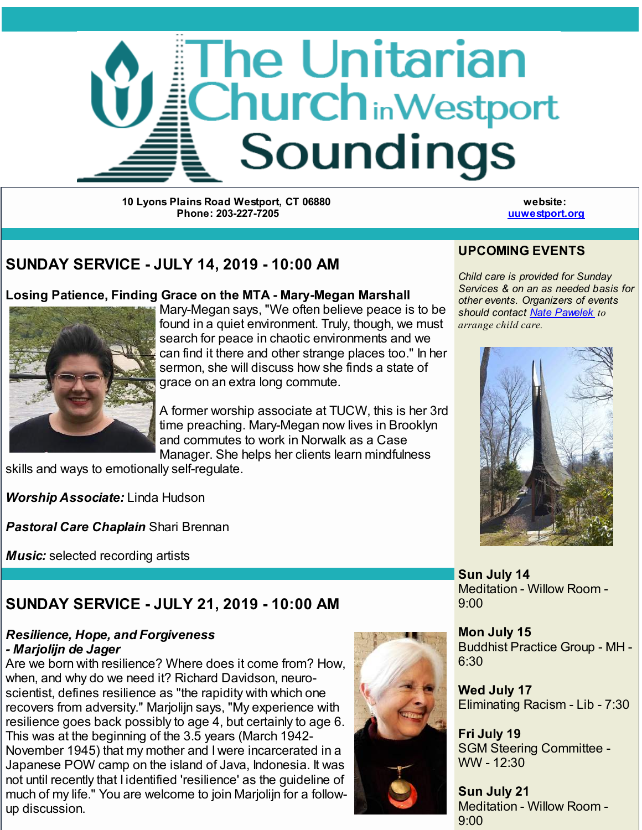

**10 Lyons Plains Road Westport, CT 06880 Phone: 203-227-7205**

**website: [uuwestport.org](http://r20.rs6.net/tn.jsp?f=001M4BW0lFwhDPrtETVE6H_6VlAGj6BdyO0UM8qBBjMy9DxeCC5uQsXJvML-emCrLNBeteZyae59AQ9244tbwhpsZovNr7kNYKc7r3XgeIWUOZOCH81v4qa3h3IkSiMKy4LfmEHIEifhKfTeOuIy8boRzau3mPdBSIY2RdmESYH5AZ97T5B0VlqNYSwQuXXdPxie-YtZHVBiOLSpTnK3ZJwOllAbVz9RuL036XTzMiYygXcEfmLuJDRJiZnXHH3i4JxLLpVGRALGKBTS108dQ7c4rdjYVQDtJl1D7T7rq3lCfdT9UwsRkVE5brjRETIjdknj9OP-hyMxci8-ohRMYICtg==&c=&ch=)**

## **SUNDAY SERVICE - JULY 14, 2019 - 10:00 AM**

#### **Losing Patience, Finding Grace on the MTA - Mary-Megan Marshall**



Mary-Megan says, "We often believe peace is to be found in a quiet environment. Truly, though, we must search for peace in chaotic environments and we can find it there and other strange places too." In her sermon, she will discuss how she finds a state of grace on an extra long commute.

A former worship associate at TUCW, this is her 3rd time preaching. Mary-Megan now lives in Brooklyn and commutes to work in Norwalk as a Case Manager. She helps her clients learn mindfulness

skills and ways to emotionally self-regulate.

*Worship Associate:* Linda Hudson

*Pastoral Care Chaplain* Shari Brennan

*Music:* selected recording artists

# **SUNDAY SERVICE - JULY 21, 2019 - 10:00 AM**

#### *Resilience, Hope, and Forgiveness - Marjolijn de Jager*

Are we born with resilience? Where does it come from? How, when, and why do we need it? Richard Davidson, neuroscientist, defines resilience as "the rapidity with which one recovers from adversity." Marjolijn says, "My experience with resilience goes back possibly to age 4, but certainly to age 6. This was at the beginning of the 3.5 years (March 1942- November 1945) that my mother and I were incarcerated in a Japanese POW camp on the island of Java, Indonesia. It was not until recently that I identified 'resilience' as the guideline of much of my life." You are welcome to join Marjolijn for a followup discussion.





*Child care is provided for Sunday Services & on an as needed basis for other events. Organizers of events should contact Nate [Pawelek](mailto:nate@uuwestport.org) to arrange child care.*



**Sun July 14** Meditation - Willow Room - 9:00

**Mon July 15** Buddhist Practice Group - MH - 6:30

**Wed July 17** Eliminating Racism - Lib - 7:30

**Fri July 19** SGM Steering Committee - WW - 12:30

**Sun July 21** Meditation - Willow Room - 9:00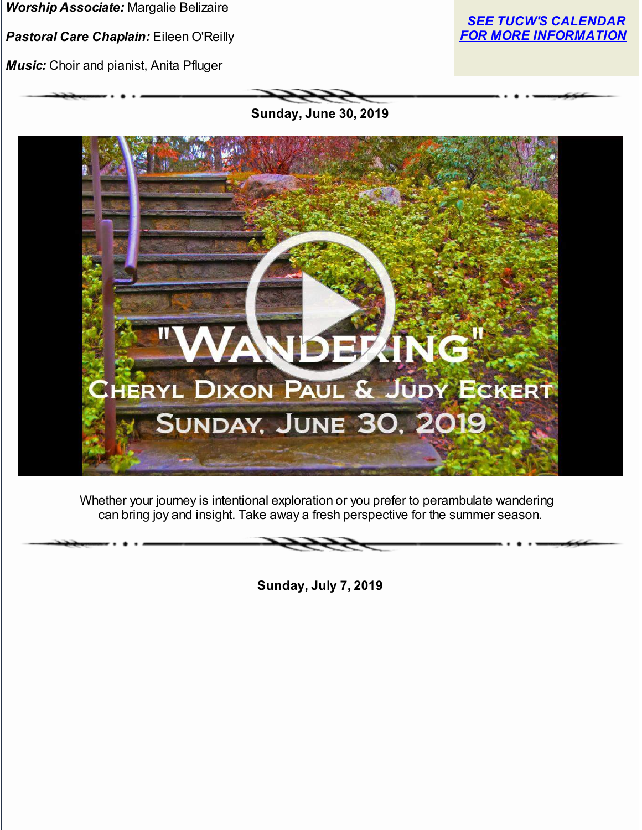*Worship Associate:* Margalie Belizaire

*Pastoral Care Chaplain:* Eileen O'Reilly

*Music:* Choir and pianist, Anita Pfluger



**Sunday, June 30, 2019**



Whether your journey is intentional exploration or you prefer to perambulate wandering can bring joy and insight. Take away a fresh perspective for the summer season.

**Sunday, July 7, 2019**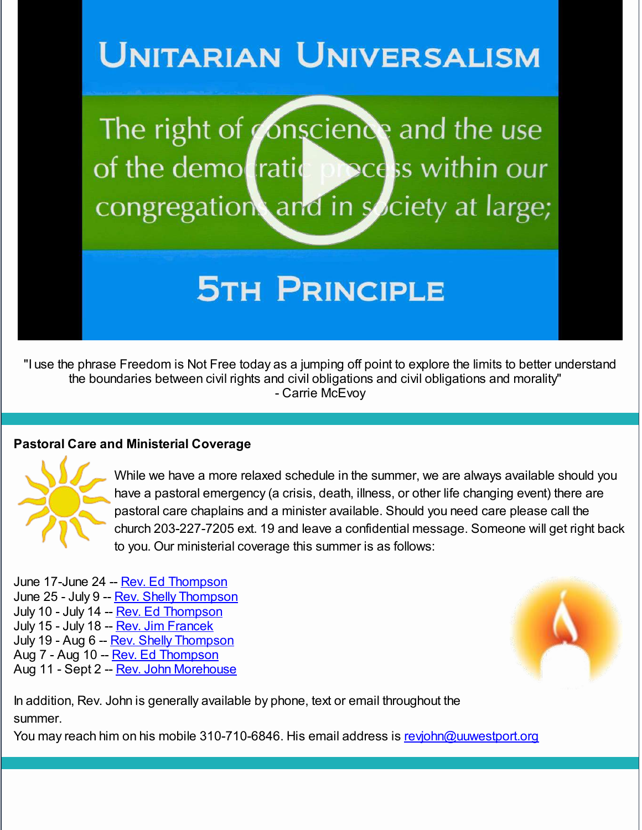# **UNITARIAN UNIVERSALISM**

The right of conscience and the use of the demotratic pocess within our congregation and in society at large;

# **5TH PRINCIPLE**

"I use the phrase Freedom is Not Free today as a jumping off point to explore the limits to better understand the boundaries between civil rights and civil obligations and civil obligations and morality" - Carrie McEvoy

#### **Pastoral Care and Ministerial Coverage**



While we have a more relaxed schedule in the summer, we are always available should you have a pastoral emergency (a crisis, death, illness, or other life changing event) there are pastoral care chaplains and a minister available. Should you need care please call the church 203-227-7205 ext. 19 and leave a confidential message. Someone will get right back to you. Our ministerial coverage this summer is as follows:

June 17-June 24 -- Rev. Ed [Thompson](mailto:ed@uwestport.org) June 25 - July 9 -- Rev. Shelly [Thompson](mailto:revshelly@uuwestport.org) July 10 - July 14 -- Rev. Ed [Thompson](mailto:ed@uwestport.org) July 15 - July 18 -- Rev. Jim [Francek](mailto:jimfrancek25@gmail.com) July 19 - Aug 6 -- Rev. Shelly [Thompson](mailto:revshelly@uuwestport.org) Aug 7 - Aug 10 -- Rev. Ed [Thompson](mailto:ed@uuwestport.org) Aug 11 - Sept 2 -- Rev. John [Morehouse](mailto:revjohn@uuwestport.org)



In addition, Rev. John is generally available by phone, text or email throughout the summer.

You may reach him on his mobile 310-710-6846. His email address is [revjohn@uuwestport.org](mailto:revjohn@uuwestport.org)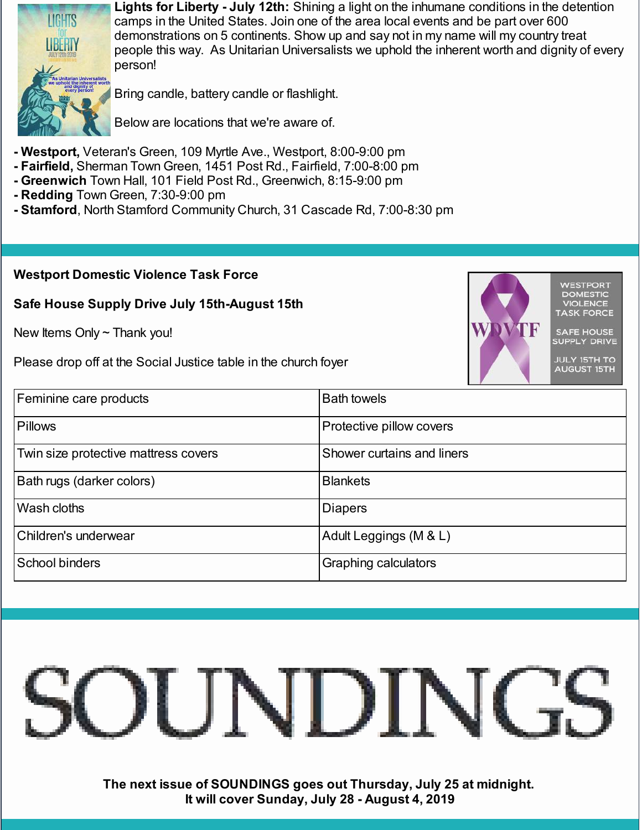

**Lights for Liberty - July 12th:** Shining a light on the inhumane conditions in the detention camps in the United States. Join one of the area local events and be part over 600 demonstrations on 5 continents. Show up and say not in my name will my country treat people this way. As Unitarian Universalists we uphold the inherent worth and dignity of every person!

> **VIOLENCE SK FORCE SAFE HOUSE** SUPPLY DRIVE **JULY 15TH TO**

Bring candle, battery candle or flashlight.

Below are locations that we're aware of.

- **- Westport,** Veteran's Green, 109 Myrtle Ave., Westport, 8:00-9:00 pm
- **- Fairfield,** Sherman Town Green, 1451 Post Rd., Fairfield, 7:00-8:00 pm
- **- Greenwich** Town Hall, 101 Field Post Rd., Greenwich, 8:15-9:00 pm
- **- Redding** Town Green, 7:30-9:00 pm
- **- Stamford**, North Stamford Community Church, 31 Cascade Rd, 7:00-8:30 pm

#### **Westport Domestic Violence Task Force**

#### **Safe House Supply Drive July 15th-August 15th**

New Items Only  $\sim$  Thank you!

Please drop off at the Social Justice table in the church foyer





**The next issue of SOUNDINGS goes out Thursday, July 25 at midnight. It will cover Sunday, July 28 - August 4, 2019**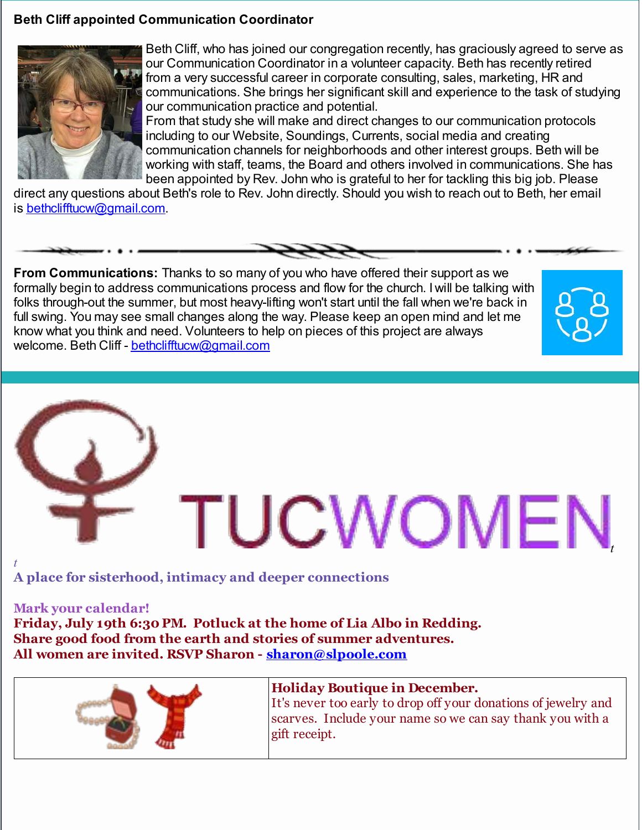#### **Beth Cliff appointed Communication Coordinator**



Beth Cliff, who has joined our congregation recently, has graciously agreed to serve as our Communication Coordinator in a volunteer capacity. Beth has recently retired from a very successful career in corporate consulting, sales, marketing, HR and communications. She brings her significant skill and experience to the task of studying our communication practice and potential.

From that study she will make and direct changes to our communication protocols including to our Website, Soundings, Currents, social media and creating communication channels for neighborhoods and other interest groups. Beth will be working with staff, teams, the Board and others involved in communications. She has been appointed by Rev. John who is grateful to her for tackling this big job. Please

direct any questions about Beth's role to Rev. John directly. Should you wish to reach out to Beth, her email is [bethclifftucw@gmail.com](mailto:bethclifftucw@gmail.com).



**From Communications:** Thanks to so many of you who have offered their support as we formally begin to address communications process and flow for the church. I will be talking with folks through-out the summer, but most heavy-lifting won't start until the fall when we're back in full swing. You may see small changes along the way. Please keep an open mind and let me know what you think and need. Volunteers to help on pieces of this project are always welcome. Beth Cliff - [bethclifftucw@gmail.com](mailto:bethclifftucw@gmail.com)

# TUCWOMEN

**A place for sisterhood, intimacy and deeper connections**

#### **Mark your calendar!**

**Friday, July 19th 6:30 PM. Potluck at the home of Lia Albo in Redding. Share good food from the earth and stories of summer adventures. All women are invited. RSVP Sharon - [sharon@slpoole.com](mailto:sharon@slpoole.com)**



#### **Holiday Boutique in December.**

It's never too early to drop off your donations of jewelry and scarves. Include your name so we can say thank you with a gift receipt.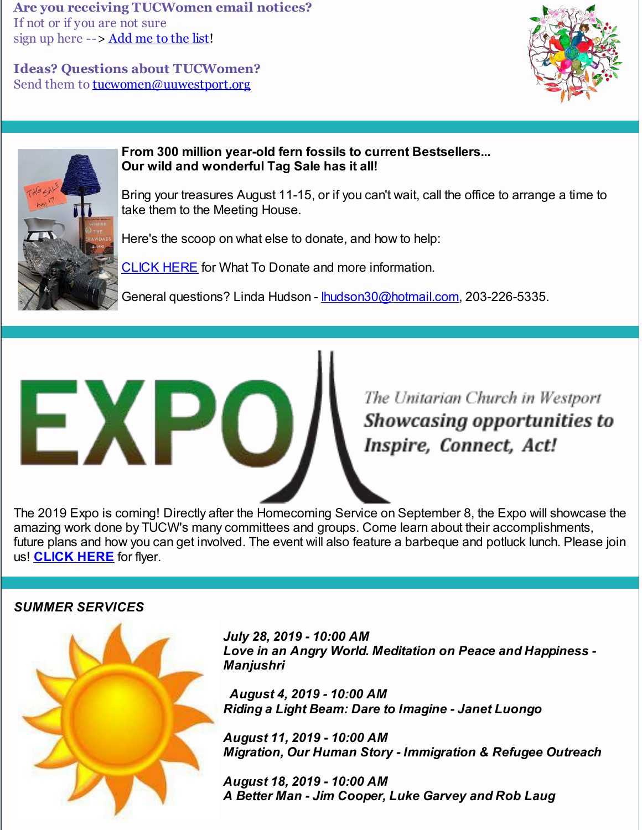**Are you receiving TUCWomen email notices?** If not or if you are not sure sign up here --> [Add](http://r20.rs6.net/tn.jsp?f=001M4BW0lFwhDPrtETVE6H_6VlAGj6BdyO0UM8qBBjMy9DxeCC5uQsXJonbwoWn1gHPox1IEQ48dbSJFvyUhjPHOrwxZ3GpO477xMeT4_BopfX_s9wq3UdNikW2baXHwPMC7alYu2f7AIK3RFY36CztPwB8a7N-AcKyZqWRX-dycf_myqwy5tlUFuyisDG3gjR25r2dUqfcRCNGmciDQn3tKe8G4VMwGwel977a1ST3n_7pUXfL94-ax1oNz5iHtBEGXIMAcSp9XeUYwqL3hKl2pP4lcYlrq1IjjScim8h0R44p7y48So51RlaPgI_6h2f3rt4T8OxwirKANkDkOh69aP46028zFXnbTm5kx-br4Tk=&c=&ch=) me to the list!

**Ideas? Questions about TUCWomen?** Send them to **[tucwomen@uuwestport.org](mailto:tucwomen@uuwestport.org)** 





#### **From 300 million year-old fern fossils to current Bestsellers... Our wild and wonderful Tag Sale has it all!**

Bring your treasures August 11-15, or if you can't wait, call the office to arrange a time to take them to the Meeting House.

Here's the scoop on what else to donate, and how to help:

[CLICK](http://r20.rs6.net/tn.jsp?f=001M4BW0lFwhDPrtETVE6H_6VlAGj6BdyO0UM8qBBjMy9DxeCC5uQsXJpqVypDzY_w0lfprfxRHwORI7KadqVMSnE37b9mxE30-g3iKXKTj74uO65J3brFJH6G2v8s254kt2Xly8yFfanv9FeUO3wVDRNL54lOSXFqOPhB-fGmvVNDzjQfDijyZfAkr8dT2RMxDzPqMvJQ_4DXADzG7n80DIxX7bGPVgoRgp9D5sLYvDtKSoVsQHSDENViq_IXqsAAZkJtdfGq60tGUGYBGhRDyyP3qi46dhR1-aGLpDdJZAHaE1aPQqW6ZrrqUXboL7DZX15zB_CLvof-6f8hO4lFtjMZWarztd5yCmlO_fLiKyPC6fSIcjLJ5DSv3vcmOMMdsWdfHEWgdMwG_s6gtE5_laMtdFXwK5C9z7EvEIx-Ji-g=&c=&ch=) HERE for What To Donate and more information.

General questions? Linda Hudson - [lhudson30@hotmail.com](mailto:lhudson30@hotmail.com), 203-226-5335.

The Unitarian Church in Westport **Showcasing opportunities to** Inspire, Connect, Act!

The 2019 Expo is coming! Directly after the Homecoming Service on September 8, the Expo will showcase the amazing work done by TUCW's many committees and groups. Come learn about their accomplishments, future plans and how you can get involved. The event will also feature a barbeque and potluck lunch. Please join us! **[CLICK](http://r20.rs6.net/tn.jsp?f=001M4BW0lFwhDPrtETVE6H_6VlAGj6BdyO0UM8qBBjMy9DxeCC5uQsXJu9pXR1rTP-Dw_DAarG3tOkYnpSaWzDI6yJ2i6CN6C77-3k32M9ppKZtWO-v4N0RXDkmKvNdalrR9jbj-liwv76lnXbqd4NVNIdH47EgV_UBln0rQEMkXdTLSM2FwIfuwGQVI8520D3QdSK11Ht5WSQbuc4p0Vy3KX4zIjI8HV4tRprNBCuwfsXm-ParztlDSGXI6zrZ35WDS4nW-_APRwiciPXXSmGXsim5_u1SdqD1gT5q7ur53TCxvNnaWGJ4PebdTOOB5KBA1ZnYx8GsAGQI7CVXTeNRXUe0fK1dBZGvufYOOOUrWI_boDO4kp9dDgjmvoaJrTuaXZ3SJtuzYYcVWzHtZae6tuubUqPbvKTP&c=&ch=) HERE** for flyer.

#### *SUMMER SERVICES*

HX.



*July 28, 2019 - 10:00 AM Love in an Angry World. Meditation on Peace and Happiness - Manjushri*

*August 4, 2019 - 10:00 AM Riding a Light Beam: Dare to Imagine - Janet Luongo*

*August 11, 2019 - 10:00 AM Migration, Our Human Story - Immigration & Refugee Outreach*

*August 18, 2019 - 10:00 AM A Better Man - Jim Cooper, Luke Garvey and Rob Laug*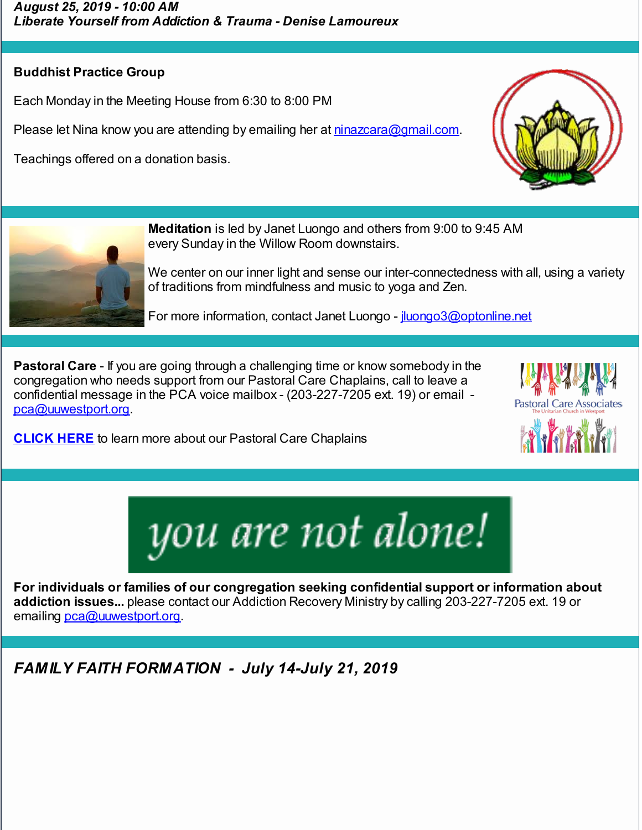## **Buddhist Practice Group**

Each Monday in the Meeting House from 6:30 to 8:00 PM

Please let Nina know you are attending by emailing her at [ninazcara@gmail.com.](mailto:ninazcara@gmail.com)

Teachings offered on a donation basis.





**Meditation** is led by Janet Luongo and others from 9:00 to 9:45 AM every Sunday in the Willow Room downstairs.

We center on our inner light and sense our inter-connectedness with all, using a variety of traditions from mindfulness and music to yoga and Zen.

For more information, contact Janet Luongo - *juongo3@optonline.net* 

**Pastoral Care** - If you are going through a challenging time or know somebody in the congregation who needs support from our Pastoral Care Chaplains, call to leave a confidential message in the PCA voice mailbox - (203-227-7205 ext. 19) or email [pca@uuwestport.org](mailto:pca@uuwestport.org).

**[CLICK](http://r20.rs6.net/tn.jsp?f=001M4BW0lFwhDPrtETVE6H_6VlAGj6BdyO0UM8qBBjMy9DxeCC5uQsXJir3aDLSSViwXQkJalNW2FehpMmdeuIi56VbJGGo2SMMD-FJ1wRndP5H289GUZeJrkDVXmLIz286LdMOn20ZRFK7WSgNl1BIOTS99YncC2XvOUSeSeyckpCXdstLVjBtBk8MrLb7LJ-fcPctG89n-bLx6YM127w7veuZFfHhneGHQN_o77sVmnVCaWfZOyA-EnE-_kHw6pfvuvMuuuUYGDQd-uF-JM2a3y-mqAxTG4PsmdJDQiXOpcAWk9Stiva1DNfVeOmFFeMAli_FLSVvfWFRg273l84fCfOedJcQ0J0SyecStlTBhhoNwe6Edrow8lT_C9oqKfvBp2pC6S0rGWU=&c=&ch=) HERE** to learn more about our Pastoral Care Chaplains





**For individuals or families of our congregation seeking confidential support or information about addiction issues...** please contact our Addiction Recovery Ministry by calling 203-227-7205 ext. 19 or emailing [pca@uuwestport.org](mailto:pca@uuwestport.org).

*FAMILY FAITH FORMATION - July 14-July 21, 2019*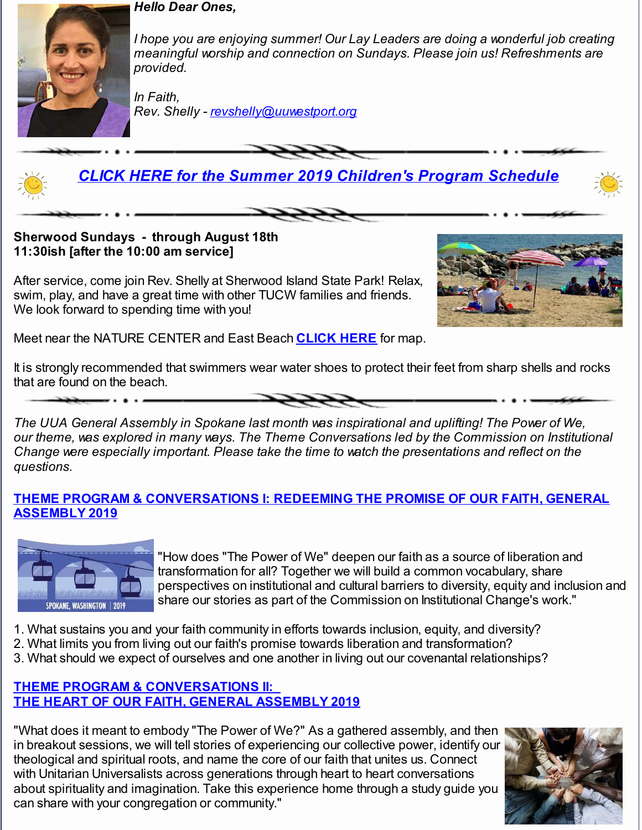#### *Hello Dear Ones,*



*I hope you are enjoying summer! Our Lay Leaders are doing a wonderful job creating meaningful worship and connection on Sundays. Please join us! Refreshments are provided.*

*In Faith, Rev. Shelly - [revshelly@uuwestport.org](mailto:revshelly@uuwestport.org)*



**Sherwood Sundays - through August 18th 11:30ish [after the 10:00 am service]**

After service, come join Rev. Shelly at Sherwood Island State Park! Relax, swim, play, and have a great time with other TUCW families and friends. We look forward to spending time with you!



Meet near the NATURE CENTER and East Beach **[CLICK](http://r20.rs6.net/tn.jsp?f=001M4BW0lFwhDPrtETVE6H_6VlAGj6BdyO0UM8qBBjMy9DxeCC5uQsXJlDuZkxoS4dRItQFj-xjPJHmuYVRzaYbDzq5NC23ng6XIGu6MmrjMeBKeD3XXA7m6lBS3y-UIq0967ICVzjquq-JfRs4YQi-nQIhEb2yau_TR0pXbQSJiO-5SjkQ49Y4HwySJc3YLb60krAWMZdE-4_A2vftqC1U6X5skBUuMmhYCapCfD2tXybo-A6ilTunYkGx2fP7MJKpvJ8ioB7Edj5aFgWsNtyadgxCLw27gpv59DeEAKb8fwwOBxvR2ITYhkIxsnI4HmN_9TqyfvHyg1MCdHUNoiG2h19RFeBo8uUDFkfX8GJ2javQt7B1P7P6Jg27DUDceW5wqmPJWYTsB78=&c=&ch=) HERE** for map.

It is strongly recommended that swimmers wear water shoes to protect their feet from sharp shells and rocks that are found on the beach.

*The UUA General Assembly in Spokane last month was inspirational and uplifting! The Power of We, our theme, was explored in many ways. The Theme Conversations led by the Commission on Institutional Change were especially important. Please take the time to watch the presentations and reflect on the questions.*

#### **THEME PROGRAM & [CONVERSATIONS](http://r20.rs6.net/tn.jsp?f=001M4BW0lFwhDPrtETVE6H_6VlAGj6BdyO0UM8qBBjMy9DxeCC5uQsXJuCDFs5-EGfIydu5_42wboT7maq06lyPbrgw2S85GCy6qG3CiOZeO5C7tBs7LmMdnTCLManENV4hxmiuU4hi3G7jOGaT_YhPMNChbSURrOT2PuYiCREPSIPKM6Lhb1AqfdZc7DC6oAL9zkzii8gF2SH7FXlWn-iic4gvgzrl7Z8ZVDO81-PBWRt24IyCY4yCkmJ7QvJ7NFUoyUkNeVmE9v3pbLPzQJ-zg_LpGmwfCHde2YKGsxihpI7Mbp6pjrEjRS--gWnLSDNd28nQGN0rWaaD58f8f-T93SQUT_D9yFYkPxnOvEiIE85sZQCE71t7l-23_Oo-NbVf&c=&ch=) I: REDEEMING THE PROMISE OF OUR FAITH, GENERAL ASSEMBLY 2019**



"How does "The Power of We" deepen our faith as a source of liberation and transformation for all? Together we will build a common vocabulary, share perspectives on institutional and cultural barriers to diversity, equity and inclusion and share our stories as part of the Commission on Institutional Change's work."

- 1. What sustains you and your faith community in efforts towards inclusion, equity, and diversity?
- 2. What limits you from living out our faith's promise towards liberation and transformation?
- 3. What should we expect of ourselves and one another in living out our covenantal relationships?

#### **THEME PROGRAM & [CONVERSATIONS](http://r20.rs6.net/tn.jsp?f=001M4BW0lFwhDPrtETVE6H_6VlAGj6BdyO0UM8qBBjMy9DxeCC5uQsXJuCDFs5-EGfIeELLPIoNze0jBbSJ8X_EDJJL5-N67r-0NS-q6J0eDwMxdD-0iZcXrpps7jO_4bxviM4DR-gyB7IFAa86GqMJTOkjL8PZaetYYRTPWkbrWq3v5H6r1vsDaU9ZvEtXde92mZSZhkvez-T4eGgxxW_yaA72HMsNMWyt2L6S42Bqmx5Tv_SHJcKTxd2eDPpd_PPYEoYffPReUU1OVlGHU_o7ZUVWiq9GSjzrCggrucr4-kMUbXKelDnjAG9RgQiuXlK4HMVuMLGqQt3lJpZYWjJYtcQG76b0Co0x-ziCPt3AVMLH-loAA9zxPP4j60LO9GXQVSS8ie0dVcM=&c=&ch=) II: THE HEART OF OUR FAITH, GENERAL [ASSEMBLY](http://r20.rs6.net/tn.jsp?f=001M4BW0lFwhDPrtETVE6H_6VlAGj6BdyO0UM8qBBjMy9DxeCC5uQsXJuCDFs5-EGfIeELLPIoNze0jBbSJ8X_EDJJL5-N67r-0NS-q6J0eDwMxdD-0iZcXrpps7jO_4bxviM4DR-gyB7IFAa86GqMJTOkjL8PZaetYYRTPWkbrWq3v5H6r1vsDaU9ZvEtXde92mZSZhkvez-T4eGgxxW_yaA72HMsNMWyt2L6S42Bqmx5Tv_SHJcKTxd2eDPpd_PPYEoYffPReUU1OVlGHU_o7ZUVWiq9GSjzrCggrucr4-kMUbXKelDnjAG9RgQiuXlK4HMVuMLGqQt3lJpZYWjJYtcQG76b0Co0x-ziCPt3AVMLH-loAA9zxPP4j60LO9GXQVSS8ie0dVcM=&c=&ch=) 2019**

"What does it meant to embody "The Power of We?" As a gathered assembly, and then in breakout sessions, we will tell stories of experiencing our collective power, identify our theological and spiritual roots, and name the core of our faith that unites us. Connect with Unitarian Universalists across generations through heart to heart conversations about spirituality and imagination. Take this experience home through a study guide you can share with your congregation or community."

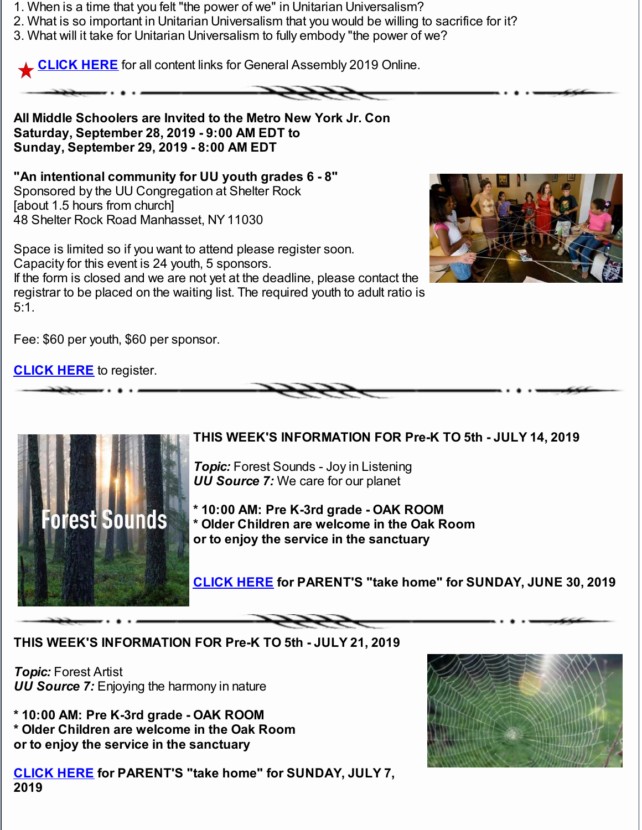- 1. When is a time that you felt "the power of we" in Unitarian Universalism?
- 2. What is so important in Unitarian Universalism that you would be willing to sacrifice for it?
- 3. What will it take for Unitarian Universalism to fully embody "the power of we?

**[CLICK](http://r20.rs6.net/tn.jsp?f=001M4BW0lFwhDPrtETVE6H_6VlAGj6BdyO0UM8qBBjMy9DxeCC5uQsXJl8IbNHd_ASlmvy_Ku6G8e8vp44mEXnV3NboMp3TZAM0z_zIe0WoYqH3zPG1Aj_UmeA3oZkCHaQozBoTTWfl_qF7fdoF6pWi-ZrcX7ybyFAR-YoOdloiRI-97ThCTNWDc_daDU2mPONOjkmY1aLbBij0K7KoQFY2tzGiY8rVwp58FY1TvoCKJgEWYICxPX35qumuGUaBBiyThEZr7hdRVbk0fTEgU8m1p-dPzmoTPKycWPTyzyW9u_6NLLFi9szj32JOS_W0EE-GwRc6a0LJfgInFJtePRH0-g==&c=&ch=) HERE** for all content links for General Assembly 2019 Online.

**All Middle Schoolers are Invited to the Metro New York Jr. Con Saturday, September 28, 2019 - 9:00 AM EDT to Sunday, September 29, 2019 - 8:00 AM EDT**

**"An intentional community for UU youth grades 6 - 8"** Sponsored by the UU Congregation at Shelter Rock [about 1.5 hours from church] 48 Shelter Rock Road Manhasset, NY11030

Space is limited so if you want to attend please register soon. Capacity for this event is 24 youth, 5 sponsors. If the form is closed and we are not yet at the deadline, please contact the registrar to be placed on the waiting list. The required youth to adult ratio is 5:1.



Fee: \$60 per youth, \$60 per sponsor.

**[CLICK](http://r20.rs6.net/tn.jsp?f=001M4BW0lFwhDPrtETVE6H_6VlAGj6BdyO0UM8qBBjMy9DxeCC5uQsXJuCDFs5-EGfIMu2fgPWApW1GG77cwM-yV1Tf5cQHiR4B5berVzt_GdMOb__4EjODLDNAYzRC3jIa8V0xjBXgnu6yl6xrC4MNK-VLd23dKkX_X5vz4WavarxfgCLnyrNjS5L6wgfOj3JdVFzqUKY9kpOIutIpLjKOWCnNLG6ykjXJx9_W5dhnZSAEVluxu9_JxszFUCeWKmD3K6V_bxNYwuWA2v9Y2DL0-wGqOgS2wZZf_lZoAJPqNA76UA4b3nGfrg==&c=&ch=) HERE** to register.



**THIS WEEK'S INFORMATION FOR Pre-K TO 5th - JULY 14, 2019**

*Topic:* Forest Sounds - Joy in Listening *UU Source 7:* We care for our planet

**\* 10:00 AM: Pre K-3rd grade - OAK ROOM \* Older Children are welcome in the Oak Room or to enjoy the service in the sanctuary**

**[CLICK](http://r20.rs6.net/tn.jsp?f=001M4BW0lFwhDPrtETVE6H_6VlAGj6BdyO0UM8qBBjMy9DxeCC5uQsXJuCDFs5-EGfITm0OjWiIL1aYsJzlIL5EdESD2rFtozl-V-Eo3wa-VAXZhqUzQWsHFUsPag-d_QKNoK-cOsEToNIoBKoRoZqaFgupozgJpMfCKqicVevzWBnaryVu8T_G9RRMxbiYNstOebVYfTCxeMVEOEctSHdiWjPPEGmqkiDLKTbDHypXgrm1EI69lnxVSBJ4BB7iCAkdEn3rBjZiIBTBm_4mrESoAtR46UTUZB2IeZEv4S_epCiBFt65_uYIQLtevwBvSntQ3o2BZ5ghwukeYSXDCx2aAB0uPKesS89lnT_REo8CfMCU7pawlaTyDjkoFm0VNZ2i1sXbJVsxkTTRNJ2F4GihfeGXAjMMsISxQpA0yABtXrE=&c=&ch=) HERE for PARENT'S "take home" for SUNDAY, JUNE 30, 2019**

#### **THIS WEEK'S INFORMATION FOR Pre-K TO 5th - JULY 21, 2019**

*Topic:* Forest Artist *UU Source 7:* Enjoying the harmony in nature

**\* 10:00 AM: Pre K-3rd grade - OAK ROOM \* Older Children are welcome in the Oak Room or to enjoy the service in the sanctuary**

**[CLICK](http://r20.rs6.net/tn.jsp?f=001M4BW0lFwhDPrtETVE6H_6VlAGj6BdyO0UM8qBBjMy9DxeCC5uQsXJuCDFs5-EGfIMAx8r91qy9ketv90FMGBCdb-9q6T3FZieAZnamzMpJXJYWpk2KmJvz4aOV_NMP43FP1K7HsnEd3RlmBd9mhK9Z81o2XFW5GQciCLebNzO7I-gdnA5bPQNfXy5pNLLUaU0YeJbxNhK07OxX85yZE-GoOdwOu33MQ1Ze6V67xxwPHfgz0yKAtuCb4a3E_epndWciPSiBIXSg4Wqmrt1TaRKethg1GYAMXOCrjhyCdeDXTc-k1pLgGJLVFGZJjFjstnCEbZBn0yLub6MbR-h7Euwd7Lr-ikF-AO5c23Ryr2fp_xdXMxEuoMbuyRjTW0FxHO78pkBZGyuvokxn18D1J2XiWfnCZ3MfByiGM7rBg5P28=&c=&ch=) HERE for PARENT'S "take home" for SUNDAY, JULY 7, 2019**